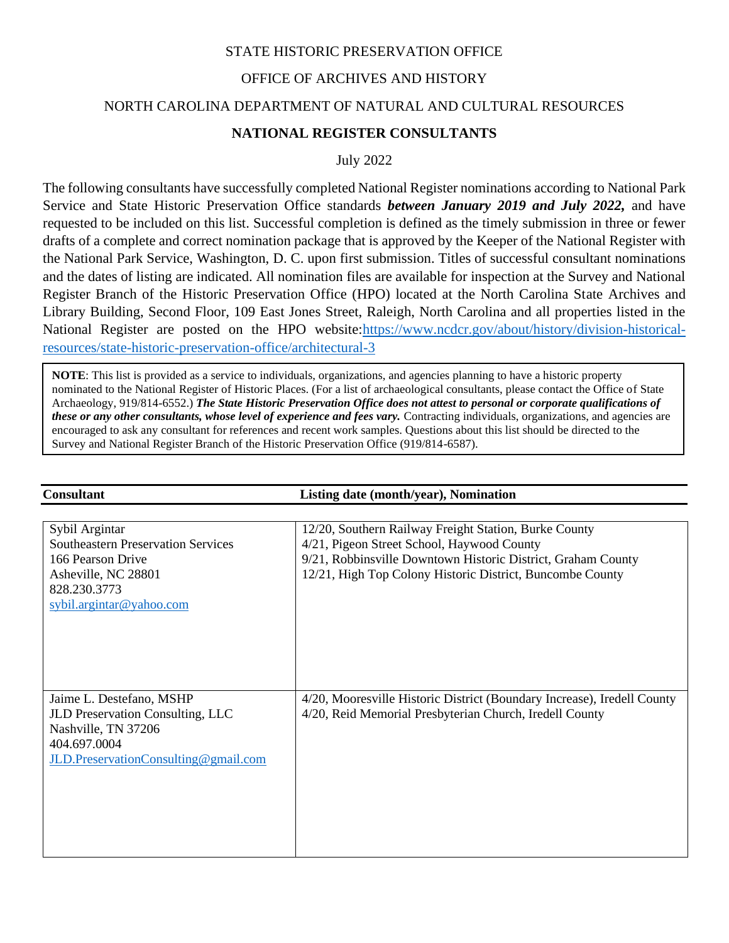### STATE HISTORIC PRESERVATION OFFICE

## OFFICE OF ARCHIVES AND HISTORY

### NORTH CAROLINA DEPARTMENT OF NATURAL AND CULTURAL RESOURCES

### **NATIONAL REGISTER CONSULTANTS**

July 2022

The following consultants have successfully completed National Register nominations according to National Park Service and State Historic Preservation Office standards *between January 2019 and July 2022,* and have requested to be included on this list. Successful completion is defined as the timely submission in three or fewer drafts of a complete and correct nomination package that is approved by the Keeper of the National Register with the National Park Service, Washington, D. C. upon first submission. Titles of successful consultant nominations and the dates of listing are indicated. All nomination files are available for inspection at the Survey and National Register Branch of the Historic Preservation Office (HPO) located at the North Carolina State Archives and Library Building, Second Floor, 109 East Jones Street, Raleigh, North Carolina and all properties listed in the National Register are posted on the HPO website[:https://www.ncdcr.gov/about/history/division-historical](https://www.ncdcr.gov/about/history/division-historical-resources/state-historic-preservation-office/architectural-3)[resources/state-historic-preservation-office/architectural-3](https://www.ncdcr.gov/about/history/division-historical-resources/state-historic-preservation-office/architectural-3)

**NOTE**: This list is provided as a service to individuals, organizations, and agencies planning to have a historic property nominated to the National Register of Historic Places. (For a list of archaeological consultants, please contact the Office of State Archaeology, 919/814-6552.) *The State Historic Preservation Office does not attest to personal or corporate qualifications of these or any other consultants, whose level of experience and fees vary.* Contracting individuals, organizations, and agencies are encouraged to ask any consultant for references and recent work samples. Questions about this list should be directed to the Survey and National Register Branch of the Historic Preservation Office (919/814-6587).

Consu

| <b>Consultant</b>                                                                                                                                   | <b>Listing date (month/year), Nomination</b>                                                                                                                                                                                     |
|-----------------------------------------------------------------------------------------------------------------------------------------------------|----------------------------------------------------------------------------------------------------------------------------------------------------------------------------------------------------------------------------------|
| Sybil Argintar<br><b>Southeastern Preservation Services</b><br>166 Pearson Drive<br>Asheville, NC 28801<br>828.230.3773<br>sybil.argintar@yahoo.com | 12/20, Southern Railway Freight Station, Burke County<br>4/21, Pigeon Street School, Haywood County<br>9/21, Robbinsville Downtown Historic District, Graham County<br>12/21, High Top Colony Historic District, Buncombe County |
| Jaime L. Destefano, MSHP<br>JLD Preservation Consulting, LLC<br>Nashville, TN 37206<br>404.697.0004<br>JLD.PreservationConsulting@gmail.com         | 4/20, Mooresville Historic District (Boundary Increase), Iredell County<br>4/20, Reid Memorial Presbyterian Church, Iredell County                                                                                               |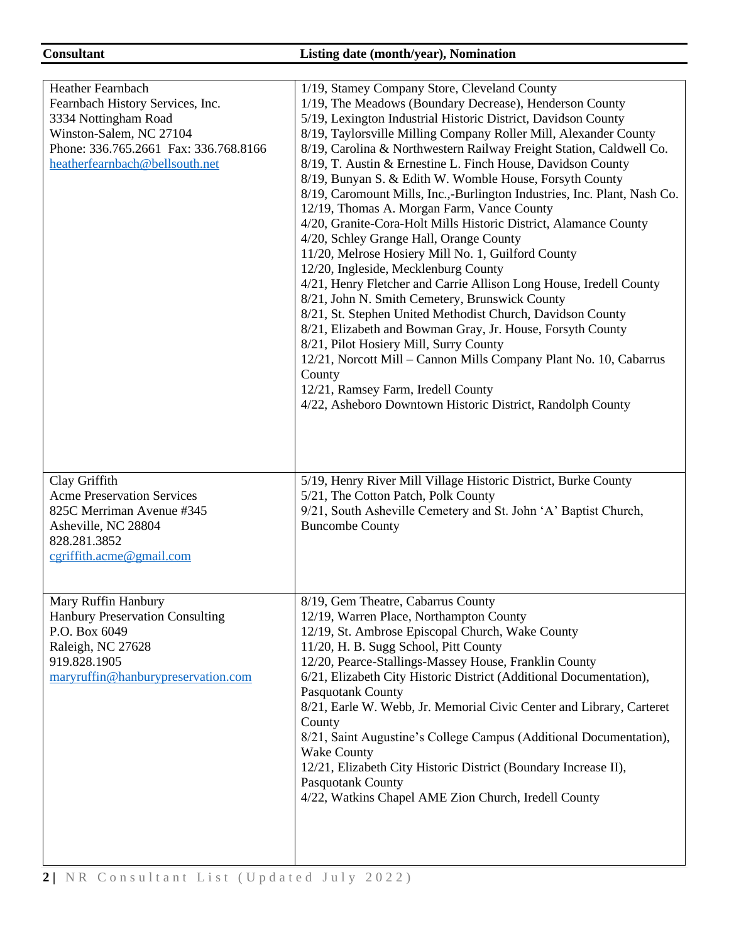# **Consultant Listing date (month/year), Nomination**

| <b>Heather Fearnbach</b><br>Fearnbach History Services, Inc.<br>3334 Nottingham Road<br>Winston-Salem, NC 27104<br>Phone: 336.765.2661 Fax: 336.768.8166<br>heatherfearnbach@bellsouth.net | 1/19, Stamey Company Store, Cleveland County<br>1/19, The Meadows (Boundary Decrease), Henderson County<br>5/19, Lexington Industrial Historic District, Davidson County<br>8/19, Taylorsville Milling Company Roller Mill, Alexander County<br>8/19, Carolina & Northwestern Railway Freight Station, Caldwell Co.<br>8/19, T. Austin & Ernestine L. Finch House, Davidson County<br>8/19, Bunyan S. & Edith W. Womble House, Forsyth County<br>8/19, Caromount Mills, Inc.,-Burlington Industries, Inc. Plant, Nash Co.<br>12/19, Thomas A. Morgan Farm, Vance County<br>4/20, Granite-Cora-Holt Mills Historic District, Alamance County<br>4/20, Schley Grange Hall, Orange County<br>11/20, Melrose Hosiery Mill No. 1, Guilford County<br>12/20, Ingleside, Mecklenburg County<br>4/21, Henry Fletcher and Carrie Allison Long House, Iredell County<br>8/21, John N. Smith Cemetery, Brunswick County<br>8/21, St. Stephen United Methodist Church, Davidson County<br>8/21, Elizabeth and Bowman Gray, Jr. House, Forsyth County<br>8/21, Pilot Hosiery Mill, Surry County<br>12/21, Norcott Mill - Cannon Mills Company Plant No. 10, Cabarrus<br>County<br>12/21, Ramsey Farm, Iredell County<br>4/22, Asheboro Downtown Historic District, Randolph County |
|--------------------------------------------------------------------------------------------------------------------------------------------------------------------------------------------|-----------------------------------------------------------------------------------------------------------------------------------------------------------------------------------------------------------------------------------------------------------------------------------------------------------------------------------------------------------------------------------------------------------------------------------------------------------------------------------------------------------------------------------------------------------------------------------------------------------------------------------------------------------------------------------------------------------------------------------------------------------------------------------------------------------------------------------------------------------------------------------------------------------------------------------------------------------------------------------------------------------------------------------------------------------------------------------------------------------------------------------------------------------------------------------------------------------------------------------------------------------------------|
| Clay Griffith<br><b>Acme Preservation Services</b><br>825C Merriman Avenue #345<br>Asheville, NC 28804<br>828.281.3852<br>$c$ griffith.acme@gmail.com                                      | 5/19, Henry River Mill Village Historic District, Burke County<br>5/21, The Cotton Patch, Polk County<br>9/21, South Asheville Cemetery and St. John 'A' Baptist Church,<br><b>Buncombe County</b>                                                                                                                                                                                                                                                                                                                                                                                                                                                                                                                                                                                                                                                                                                                                                                                                                                                                                                                                                                                                                                                                    |
| Mary Ruffin Hanbury<br><b>Hanbury Preservation Consulting</b><br>P.O. Box 6049<br>Raleigh, NC 27628<br>919.828.1905<br>maryruffin@hanburypreservation.com                                  | 8/19, Gem Theatre, Cabarrus County<br>12/19, Warren Place, Northampton County<br>12/19, St. Ambrose Episcopal Church, Wake County<br>11/20, H. B. Sugg School, Pitt County<br>12/20, Pearce-Stallings-Massey House, Franklin County<br>6/21, Elizabeth City Historic District (Additional Documentation),<br>Pasquotank County<br>8/21, Earle W. Webb, Jr. Memorial Civic Center and Library, Carteret<br>County<br>8/21, Saint Augustine's College Campus (Additional Documentation),<br><b>Wake County</b><br>12/21, Elizabeth City Historic District (Boundary Increase II),<br><b>Pasquotank County</b><br>4/22, Watkins Chapel AME Zion Church, Iredell County                                                                                                                                                                                                                                                                                                                                                                                                                                                                                                                                                                                                   |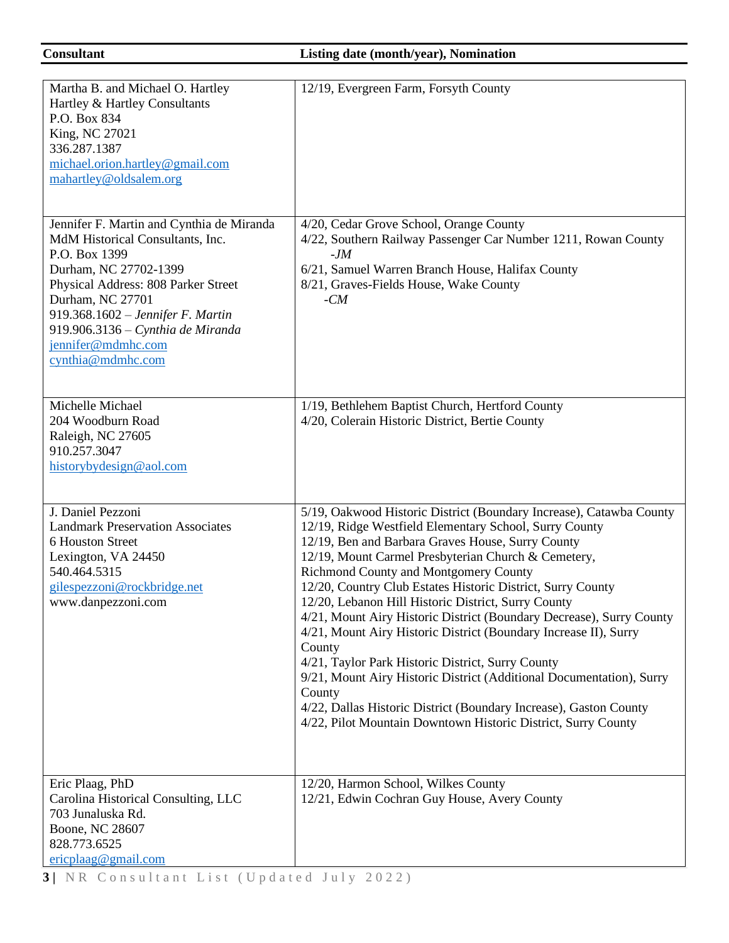| Martha B. and Michael O. Hartley<br>Hartley & Hartley Consultants<br>P.O. Box 834<br>King, NC 27021<br>336.287.1387<br>michael.orion.hartley@gmail.com<br>mahartley@oldsalem.org                                                                                                                        | 12/19, Evergreen Farm, Forsyth County                                                                                                                                                                                                                                                                                                                                                                                                                                                                                                                                                                                                                                                                                                                                                                                                       |
|---------------------------------------------------------------------------------------------------------------------------------------------------------------------------------------------------------------------------------------------------------------------------------------------------------|---------------------------------------------------------------------------------------------------------------------------------------------------------------------------------------------------------------------------------------------------------------------------------------------------------------------------------------------------------------------------------------------------------------------------------------------------------------------------------------------------------------------------------------------------------------------------------------------------------------------------------------------------------------------------------------------------------------------------------------------------------------------------------------------------------------------------------------------|
| Jennifer F. Martin and Cynthia de Miranda<br>MdM Historical Consultants, Inc.<br>P.O. Box 1399<br>Durham, NC 27702-1399<br>Physical Address: 808 Parker Street<br>Durham, NC 27701<br>919.368.1602 - Jennifer F. Martin<br>919.906.3136 - Cynthia de Miranda<br>jennifer@mdmhc.com<br>cynthia@mdmhc.com | 4/20, Cedar Grove School, Orange County<br>4/22, Southern Railway Passenger Car Number 1211, Rowan County<br>$-JM$<br>6/21, Samuel Warren Branch House, Halifax County<br>8/21, Graves-Fields House, Wake County<br>$-CM$                                                                                                                                                                                                                                                                                                                                                                                                                                                                                                                                                                                                                   |
| Michelle Michael<br>204 Woodburn Road<br>Raleigh, NC 27605<br>910.257.3047<br>historybydesign@aol.com                                                                                                                                                                                                   | 1/19, Bethlehem Baptist Church, Hertford County<br>4/20, Colerain Historic District, Bertie County                                                                                                                                                                                                                                                                                                                                                                                                                                                                                                                                                                                                                                                                                                                                          |
| J. Daniel Pezzoni<br><b>Landmark Preservation Associates</b><br>6 Houston Street<br>Lexington, VA 24450<br>540.464.5315<br>gilespezzoni@rockbridge.net<br>www.danpezzoni.com                                                                                                                            | 5/19, Oakwood Historic District (Boundary Increase), Catawba County<br>12/19, Ridge Westfield Elementary School, Surry County<br>12/19, Ben and Barbara Graves House, Surry County<br>12/19, Mount Carmel Presbyterian Church & Cemetery,<br>Richmond County and Montgomery County<br>12/20, Country Club Estates Historic District, Surry County<br>12/20, Lebanon Hill Historic District, Surry County<br>4/21, Mount Airy Historic District (Boundary Decrease), Surry County<br>4/21, Mount Airy Historic District (Boundary Increase II), Surry<br>County<br>4/21, Taylor Park Historic District, Surry County<br>9/21, Mount Airy Historic District (Additional Documentation), Surry<br>County<br>4/22, Dallas Historic District (Boundary Increase), Gaston County<br>4/22, Pilot Mountain Downtown Historic District, Surry County |
| Eric Plaag, PhD<br>Carolina Historical Consulting, LLC<br>703 Junaluska Rd.<br>Boone, NC 28607<br>828.773.6525<br>ericplaag@gmail.com                                                                                                                                                                   | 12/20, Harmon School, Wilkes County<br>12/21, Edwin Cochran Guy House, Avery County                                                                                                                                                                                                                                                                                                                                                                                                                                                                                                                                                                                                                                                                                                                                                         |